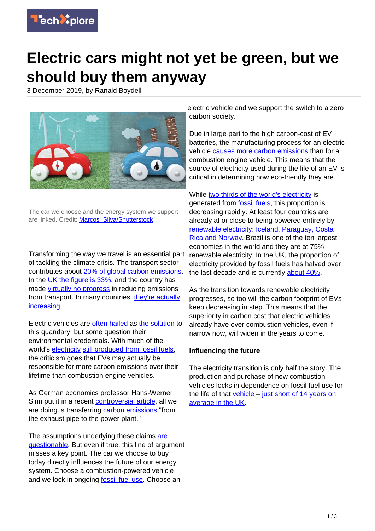

## **Electric cars might not yet be green, but we should buy them anyway**

3 December 2019, by Ranald Boydell



The car we choose and the energy system we support are linked. Credit: Marcos Silva/Shutterstock

Transforming the way we travel is an essential part of tackling the climate crisis. The transport sector contributes about [20% of global carbon emissions](https://data.worldbank.org/indicator/en.co2.tran.zs). In the [UK the figure is 33%](https://assets.publishing.service.gov.uk/government/uploads/system/uploads/attachment_data/file/790626/2018-provisional-emissions-statistics-report.pdf), and the country has made [virtually no progress](https://www.independent.co.uk/news/uk/politics/transport-pollution-greenhouse-gas-emissions-cars-climate-change-global-warming-a8763961.html) in reducing emissions from transport. In many countries, [they're actually](https://www.eea.europa.eu/themes/transport/term/term-briefing-2018) [increasing](https://www.eea.europa.eu/themes/transport/term/term-briefing-2018).

Electric vehicles are [often hailed](https://www.linkedin.com/pulse/delivering-cleaner-greener-industries-infrastructure-effort-john/) as [the solution](https://www.eea.europa.eu/themes/transport/term/term-briefing-2018) to this quandary, but some question their environmental credentials. With much of the world's [electricity](https://techxplore.com/tags/electricity/) [still produced from fossil fuels](https://www.iea.org/statistics/electricity/), the criticism goes that EVs may actually be responsible for more carbon emissions over their lifetime than combustion engine vehicles.

As German economics professor Hans-Werner Sinn put it in a recent [controversial article](https://www.theguardian.com/environment/2019/nov/25/are-electric-vehicles-really-so-climate-friendly), all we are doing is transferring [carbon emissions](https://techxplore.com/tags/carbon+emissions/) "from the exhaust pipe to the power plant."

The assumptions underlying these claims [are](https://www.theguardian.com/environment/2019/nov/26/yes-electric-vehicles-really-are-better-than-fossil-fuel-burners) [questionable.](https://www.theguardian.com/environment/2019/nov/26/yes-electric-vehicles-really-are-better-than-fossil-fuel-burners) But even if true, this line of argument misses a key point. The car we choose to buy today directly influences the future of our energy system. Choose a combustion-powered vehicle and we lock in ongoing [fossil fuel use.](https://techxplore.com/tags/fossil+fuel+use/) Choose an

electric vehicle and we support the switch to a zero carbon society.

Due in large part to the high carbon-cost of EV batteries, the manufacturing process for an electric vehicle [causes more carbon emissions](https://www.europarl.europa.eu/news/en/headlines/society/20190313STO31218/co2-emissions-from-cars-facts-and-figures-infographics) than for a combustion engine vehicle. This means that the source of electricity used during the life of an EV is critical in determining how eco-friendly they are.

While [two thirds of the world's electricity](https://www.iea.org/statistics/electricity/) is generated from [fossil fuels](https://techxplore.com/tags/fossil+fuels/), this proportion is decreasing rapidly. At least four countries are already at or close to being powered entirely by [renewable electricity](https://techxplore.com/tags/renewable+electricity/): [Iceland, Paraguay, Costa](https://www.resilience.org/stories/2018-05-24/a-100-renewable-grid-isnt-just-feasible-its-already-happening/) [Rica and Norway](https://www.resilience.org/stories/2018-05-24/a-100-renewable-grid-isnt-just-feasible-its-already-happening/). Brazil is one of the ten largest economies in the world and they are at 75% renewable electricity. In the UK, the proportion of electricity provided by fossil fuels has halved over the last decade and is currently [about 40%](https://www.ofgem.gov.uk/data-portal/electricity-generation-mix-quarter-and-fuel-source-gb).

As the transition towards renewable electricity progresses, so too will the carbon footprint of EVs keep decreasing in step. This means that the superiority in carbon cost that electric vehicles already have over combustion vehicles, even if narrow now, will widen in the years to come.

## **Influencing the future**

The electricity transition is only half the story. The production and purchase of new combustion vehicles locks in dependence on fossil fuel use for the life of that [vehicle](https://techxplore.com/tags/vehicle/) – [just short of 14 years on](https://www.smmt.co.uk/industry-topics/sustainability/average-vehicle-age/) [average in the UK.](https://www.smmt.co.uk/industry-topics/sustainability/average-vehicle-age/)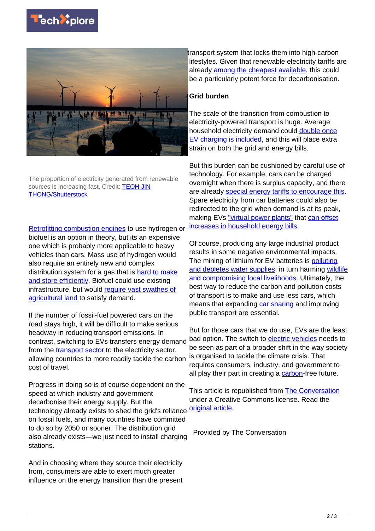



The proportion of electricity generated from renewable sources is increasing fast. Credit: **[TEOH JIN](https://www.shutterstock.com/image-photo/sunset-gaomei-wetland-taichung-1575130438)** [THONG/Shutterstock](https://www.shutterstock.com/image-photo/sunset-gaomei-wetland-taichung-1575130438)

[Retrofitting combustion engines](https://www.vox.com/energy-and-environment/2018/2/16/16926950/hydrogen-fuel-technology-economy-hytech-storage) to use hydrogen or biofuel is an option in theory, but its an expensive one which is probably more applicable to heavy vehicles than cars. Mass use of hydrogen would also require an entirely new and complex distribution system for a gas that is [hard to make](https://energypost.eu/hydrogen-fuel-cell-cars-competitive-hydrogen-fuel-cell-expert/) [and store efficiently](https://energypost.eu/hydrogen-fuel-cell-cars-competitive-hydrogen-fuel-cell-expert/). Biofuel could use existing infrastructure, but would [require vast swathes of](https://www.euractiv.com/section/climate-environment/news/biodiesel-worse-for-the-environment-than-fossil-fuels-warn-green-campaigners/) [agricultural land](https://www.euractiv.com/section/climate-environment/news/biodiesel-worse-for-the-environment-than-fossil-fuels-warn-green-campaigners/) to satisfy demand.

If the number of fossil-fuel powered cars on the road stays high, it will be difficult to make serious headway in reducing transport emissions. In contrast, switching to EVs transfers energy demand from the **[transport sector](https://techxplore.com/tags/transport+sector/)** to the electricity sector, allowing countries to more readily tackle the carbon cost of travel.

Progress in doing so is of course dependent on the speed at which industry and government decarbonise their energy supply. But the technology already exists to shed the grid's reliance on fossil fuels, and many countries have committed to do so by 2050 or sooner. The distribution grid also already exists—we just need to install charging stations.

And in choosing where they source their electricity from, consumers are able to exert much greater influence on the energy transition than the present

transport system that locks them into high-carbon lifestyles. Given that renewable electricity tariffs are already [among the cheapest available,](https://www.theguardian.com/business/2018/aug/22/green-energy-tariffs-uswitch) this could be a particularly potent force for decarbonisation.

## **Grid burden**

The scale of the transition from combustion to electricity-powered transport is huge. Average household electricity demand could [double once](https://www.spenergynetworks.co.uk/pages/electric_vehicles.aspx) [EV charging is included](https://www.spenergynetworks.co.uk/pages/electric_vehicles.aspx), and this will place extra strain on both the grid and energy bills.

But this burden can be cushioned by careful use of technology. For example, cars can be charged overnight when there is surplus capacity, and there are already [special energy tariffs to encourage this.](https://www.britishgas.co.uk/energy/ev-tariff-home.html) Spare electricity from car batteries could also be redirected to the grid when demand is at its peak, making EVs ["virtual power plants"](https://www.sciencedirect.com/topics/engineering/vehicle-to-grid) that [can offset](https://www.businessgreen.com/bg/news/3084388/where-solar-power-was-10-years-ago-study-reveals-vehicle-to-grid-tech-could-save-households-up-to-gbp300-a-year) [increases in household energy bills.](https://www.businessgreen.com/bg/news/3084388/where-solar-power-was-10-years-ago-study-reveals-vehicle-to-grid-tech-could-save-households-up-to-gbp300-a-year)

Of course, producing any large industrial product results in some negative environmental impacts. The mining of lithium for EV batteries is [polluting](https://theicct.org/sites/default/files/publications/EV-life-cycle-GHG_ICCT-Briefing_09022018_vF.pdf) [and depletes water supplies,](https://theicct.org/sites/default/files/publications/EV-life-cycle-GHG_ICCT-Briefing_09022018_vF.pdf) in turn harming [wildlife](https://www.wired.co.uk/article/lithium-batteries-environment-impact) [and compromising local livelihoods](https://www.wired.co.uk/article/lithium-batteries-environment-impact). Ultimately, the best way to reduce the carbon and pollution costs of transport is to make and use less cars, which means that expanding [car sharing](https://blog.ucsusa.org/josh-goldman/car-sharing-climate-change-emissions) and improving public transport are essential.

But for those cars that we do use, EVs are the least bad option. The switch to [electric vehicles](https://techxplore.com/tags/electric+vehicles/) needs to be seen as part of a broader shift in the way society is organised to tackle the climate crisis. That requires consumers, industry, and government to all play their part in creating a [carbon-](https://techxplore.com/tags/carbon/)free future.

This article is republished from [The Conversation](http://theconversation.com) under a Creative Commons license. Read the [original article](https://theconversation.com/electric-cars-might-not-yet-be-green-but-we-should-buy-them-anyway-127932).

Provided by The Conversation